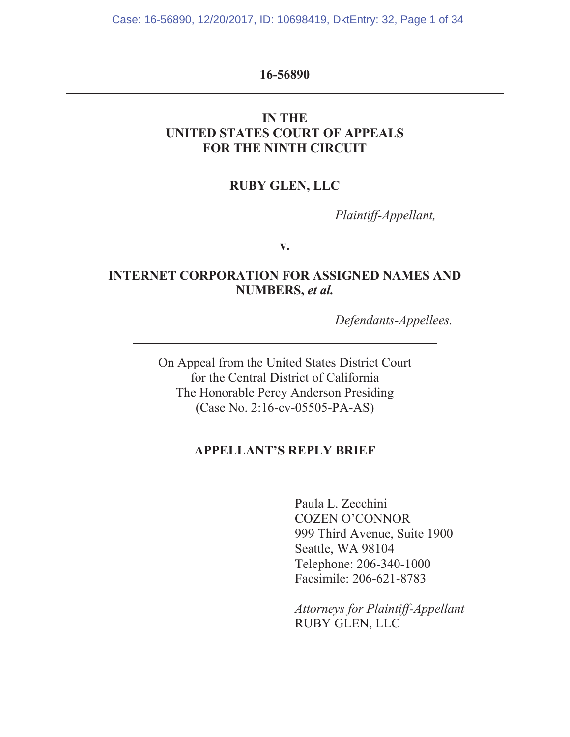Case: 16-56890, 12/20/2017, ID: 10698419, DktEntry: 32, Page 1 of 34

### **16-56890**

# **IN THE UNITED STATES COURT OF APPEALS FOR THE NINTH CIRCUIT**

# **RUBY GLEN, LLC**

*Plaintiff-Appellant,* 

**v.** 

# **INTERNET CORPORATION FOR ASSIGNED NAMES AND NUMBERS,** *et al.*

 *Defendants-Appellees.* 

On Appeal from the United States District Court for the Central District of California The Honorable Percy Anderson Presiding (Case No. 2:16-cv-05505-PA-AS)

# **APPELLANT'S REPLY BRIEF**

Paula L. Zecchini COZEN O'CONNOR 999 Third Avenue, Suite 1900 Seattle, WA 98104 Telephone: 206-340-1000 Facsimile: 206-621-8783

*Attorneys for Plaintiff-Appellant*  RUBY GLEN, LLC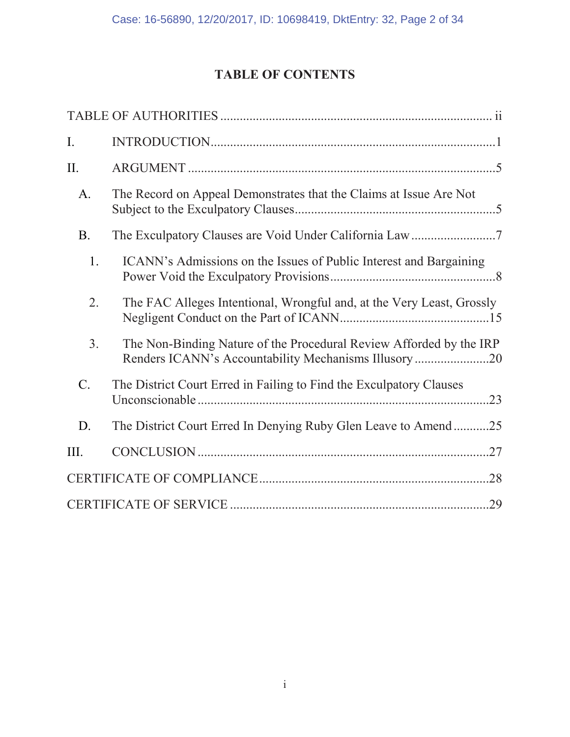# **TABLE OF CONTENTS**

| I.              |                                                                                                                             |
|-----------------|-----------------------------------------------------------------------------------------------------------------------------|
| II.             |                                                                                                                             |
| A.              | The Record on Appeal Demonstrates that the Claims at Issue Are Not                                                          |
| <b>B.</b>       |                                                                                                                             |
| 1.              | ICANN's Admissions on the Issues of Public Interest and Bargaining                                                          |
| 2.              | The FAC Alleges Intentional, Wrongful and, at the Very Least, Grossly                                                       |
| 3.              | The Non-Binding Nature of the Procedural Review Afforded by the IRP<br>Renders ICANN's Accountability Mechanisms Illusory20 |
| $\mathcal{C}$ . | The District Court Erred in Failing to Find the Exculpatory Clauses                                                         |
| D.              | The District Court Erred In Denying Ruby Glen Leave to Amend25                                                              |
| III.            | .27                                                                                                                         |
|                 |                                                                                                                             |
|                 |                                                                                                                             |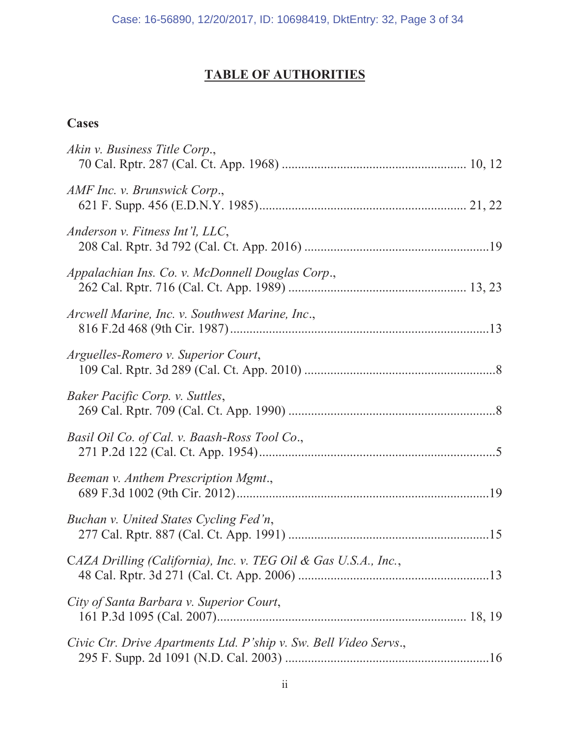# **TABLE OF AUTHORITIES**

# **Cases**

| Akin v. Business Title Corp.,                                     |
|-------------------------------------------------------------------|
| AMF Inc. v. Brunswick Corp.,                                      |
| Anderson v. Fitness Int'l, LLC,                                   |
| Appalachian Ins. Co. v. McDonnell Douglas Corp.,                  |
| Arcwell Marine, Inc. v. Southwest Marine, Inc.,                   |
| Arguelles-Romero v. Superior Court,                               |
| Baker Pacific Corp. v. Suttles,                                   |
| Basil Oil Co. of Cal. v. Baash-Ross Tool Co.,                     |
| Beeman v. Anthem Prescription Mgmt.,                              |
| Buchan v. United States Cycling Fed'n,                            |
| CAZA Drilling (California), Inc. v. TEG Oil & Gas U.S.A., Inc.,   |
| City of Santa Barbara v. Superior Court,                          |
| Civic Ctr. Drive Apartments Ltd. P'ship v. Sw. Bell Video Servs., |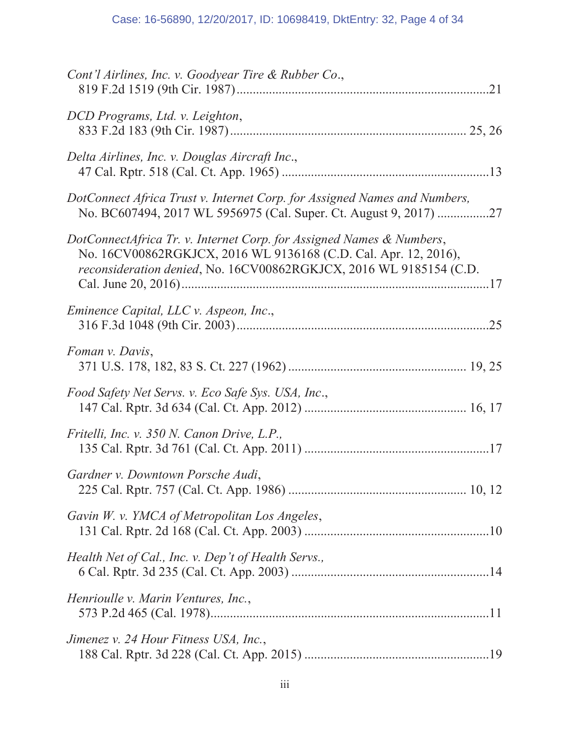| Cont'l Airlines, Inc. v. Goodyear Tire & Rubber Co.,                                                                                                                                                          |
|---------------------------------------------------------------------------------------------------------------------------------------------------------------------------------------------------------------|
| DCD Programs, Ltd. v. Leighton,                                                                                                                                                                               |
| Delta Airlines, Inc. v. Douglas Aircraft Inc.,                                                                                                                                                                |
| DotConnect Africa Trust v. Internet Corp. for Assigned Names and Numbers,<br>No. BC607494, 2017 WL 5956975 (Cal. Super. Ct. August 9, 2017) 27                                                                |
| DotConnectAfrica Tr. v. Internet Corp. for Assigned Names & Numbers,<br>No. 16CV00862RGKJCX, 2016 WL 9136168 (C.D. Cal. Apr. 12, 2016),<br>reconsideration denied, No. 16CV00862RGKJCX, 2016 WL 9185154 (C.D. |
| Eminence Capital, LLC v. Aspeon, Inc.,                                                                                                                                                                        |
| Foman v. Davis,                                                                                                                                                                                               |
| Food Safety Net Servs. v. Eco Safe Sys. USA, Inc.,                                                                                                                                                            |
| Fritelli, Inc. v. 350 N. Canon Drive, L.P.,                                                                                                                                                                   |
| Gardner v. Downtown Porsche Audi,                                                                                                                                                                             |
| Gavin W. v. YMCA of Metropolitan Los Angeles,                                                                                                                                                                 |
| Health Net of Cal., Inc. v. Dep't of Health Servs.,                                                                                                                                                           |
| Henrioulle v. Marin Ventures, Inc.,                                                                                                                                                                           |
| Jimenez v. 24 Hour Fitness USA, Inc.,                                                                                                                                                                         |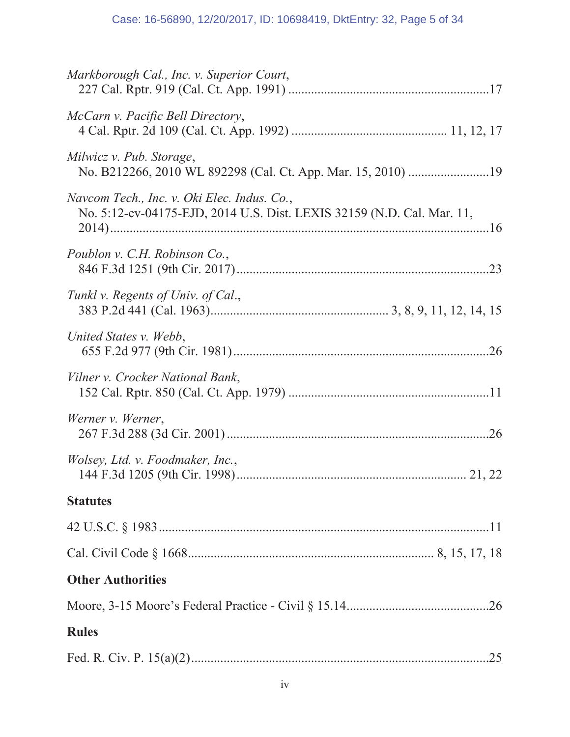| <b>Rules</b>                                                                                                          |  |  |
|-----------------------------------------------------------------------------------------------------------------------|--|--|
|                                                                                                                       |  |  |
| <b>Other Authorities</b>                                                                                              |  |  |
|                                                                                                                       |  |  |
|                                                                                                                       |  |  |
| <b>Statutes</b>                                                                                                       |  |  |
| Wolsey, Ltd. v. Foodmaker, Inc.,                                                                                      |  |  |
| Werner v. Werner,                                                                                                     |  |  |
| Vilner v. Crocker National Bank,                                                                                      |  |  |
| United States v. Webb,                                                                                                |  |  |
| Tunkl v. Regents of Univ. of Cal.,                                                                                    |  |  |
| Poublon v. C.H. Robinson Co.,                                                                                         |  |  |
| Navcom Tech., Inc. v. Oki Elec. Indus. Co.,<br>No. 5:12-cv-04175-EJD, 2014 U.S. Dist. LEXIS 32159 (N.D. Cal. Mar. 11, |  |  |
| Milwicz v. Pub. Storage,                                                                                              |  |  |
| McCarn v. Pacific Bell Directory,                                                                                     |  |  |
| Markborough Cal., Inc. v. Superior Court,                                                                             |  |  |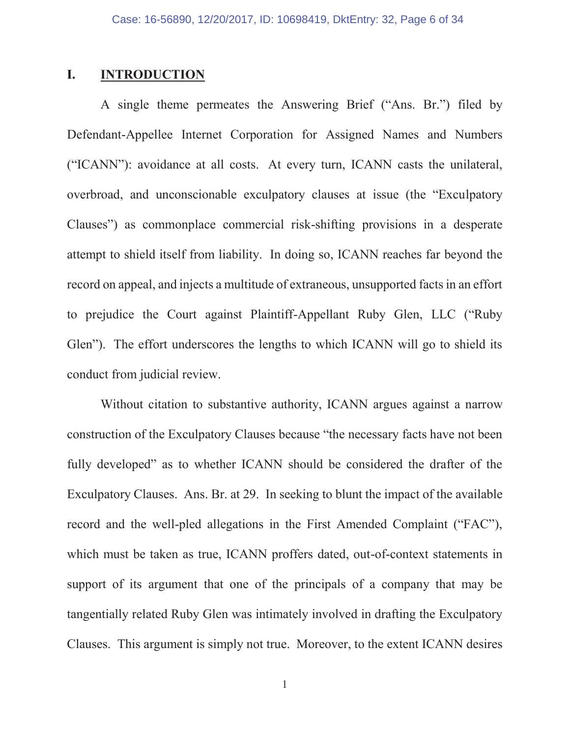### **I. INTRODUCTION**

A single theme permeates the Answering Brief ("Ans. Br.") filed by Defendant-Appellee Internet Corporation for Assigned Names and Numbers ("ICANN"): avoidance at all costs. At every turn, ICANN casts the unilateral, overbroad, and unconscionable exculpatory clauses at issue (the "Exculpatory Clauses") as commonplace commercial risk-shifting provisions in a desperate attempt to shield itself from liability. In doing so, ICANN reaches far beyond the record on appeal, and injects a multitude of extraneous, unsupported facts in an effort to prejudice the Court against Plaintiff-Appellant Ruby Glen, LLC ("Ruby Glen"). The effort underscores the lengths to which ICANN will go to shield its conduct from judicial review.

Without citation to substantive authority, ICANN argues against a narrow construction of the Exculpatory Clauses because "the necessary facts have not been fully developed" as to whether ICANN should be considered the drafter of the Exculpatory Clauses. Ans. Br. at 29. In seeking to blunt the impact of the available record and the well-pled allegations in the First Amended Complaint ("FAC"), which must be taken as true, ICANN proffers dated, out-of-context statements in support of its argument that one of the principals of a company that may be tangentially related Ruby Glen was intimately involved in drafting the Exculpatory Clauses. This argument is simply not true. Moreover, to the extent ICANN desires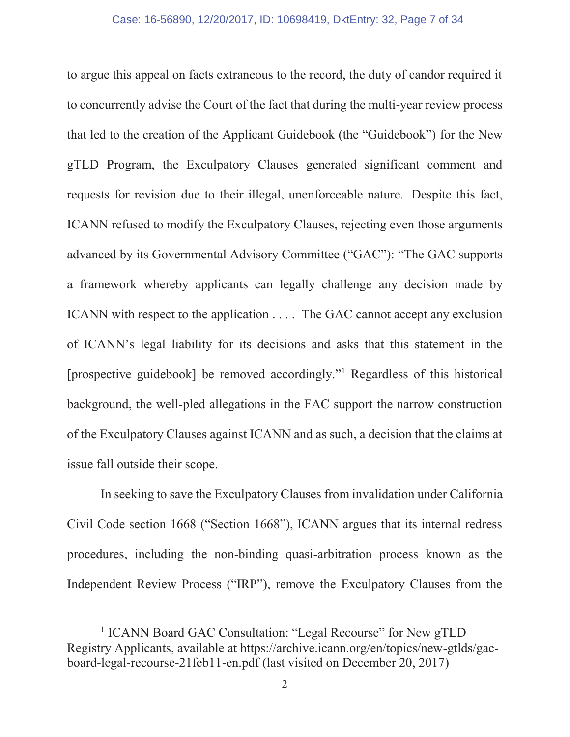to argue this appeal on facts extraneous to the record, the duty of candor required it to concurrently advise the Court of the fact that during the multi-year review process that led to the creation of the Applicant Guidebook (the "Guidebook") for the New gTLD Program, the Exculpatory Clauses generated significant comment and requests for revision due to their illegal, unenforceable nature. Despite this fact, ICANN refused to modify the Exculpatory Clauses, rejecting even those arguments advanced by its Governmental Advisory Committee ("GAC"): "The GAC supports a framework whereby applicants can legally challenge any decision made by ICANN with respect to the application . . . . The GAC cannot accept any exclusion of ICANN's legal liability for its decisions and asks that this statement in the [prospective guidebook] be removed accordingly."<sup>1</sup> Regardless of this historical background, the well-pled allegations in the FAC support the narrow construction of the Exculpatory Clauses against ICANN and as such, a decision that the claims at issue fall outside their scope.

In seeking to save the Exculpatory Clauses from invalidation under California Civil Code section 1668 ("Section 1668"), ICANN argues that its internal redress procedures, including the non-binding quasi-arbitration process known as the Independent Review Process ("IRP"), remove the Exculpatory Clauses from the

<sup>&</sup>lt;sup>1</sup> ICANN Board GAC Consultation: "Legal Recourse" for New gTLD Registry Applicants, available at https://archive.icann.org/en/topics/new-gtlds/gacboard-legal-recourse-21feb11-en.pdf (last visited on December 20, 2017)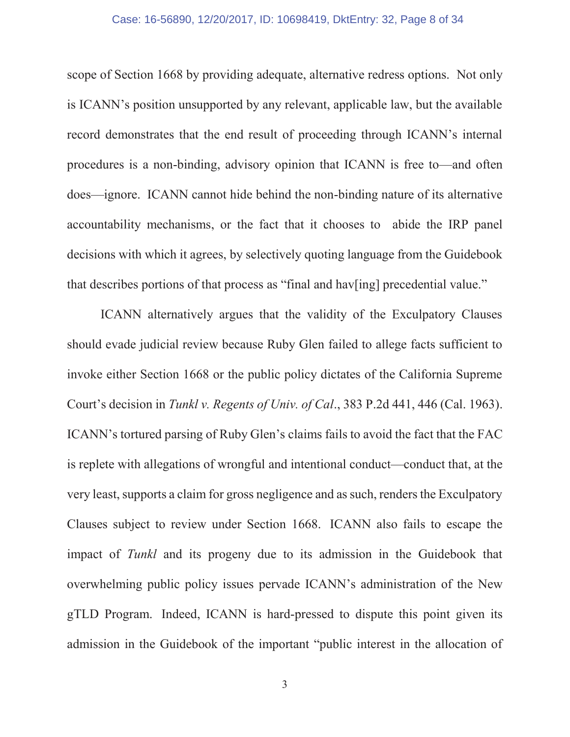#### Case: 16-56890, 12/20/2017, ID: 10698419, DktEntry: 32, Page 8 of 34

scope of Section 1668 by providing adequate, alternative redress options. Not only is ICANN's position unsupported by any relevant, applicable law, but the available record demonstrates that the end result of proceeding through ICANN's internal procedures is a non-binding, advisory opinion that ICANN is free to—and often does—ignore. ICANN cannot hide behind the non-binding nature of its alternative accountability mechanisms, or the fact that it chooses to abide the IRP panel decisions with which it agrees, by selectively quoting language from the Guidebook that describes portions of that process as "final and hav[ing] precedential value."

ICANN alternatively argues that the validity of the Exculpatory Clauses should evade judicial review because Ruby Glen failed to allege facts sufficient to invoke either Section 1668 or the public policy dictates of the California Supreme Court's decision in *Tunkl v. Regents of Univ. of Cal*., 383 P.2d 441, 446 (Cal. 1963). ICANN's tortured parsing of Ruby Glen's claims fails to avoid the fact that the FAC is replete with allegations of wrongful and intentional conduct—conduct that, at the very least, supports a claim for gross negligence and as such, renders the Exculpatory Clauses subject to review under Section 1668. ICANN also fails to escape the impact of *Tunkl* and its progeny due to its admission in the Guidebook that overwhelming public policy issues pervade ICANN's administration of the New gTLD Program. Indeed, ICANN is hard-pressed to dispute this point given its admission in the Guidebook of the important "public interest in the allocation of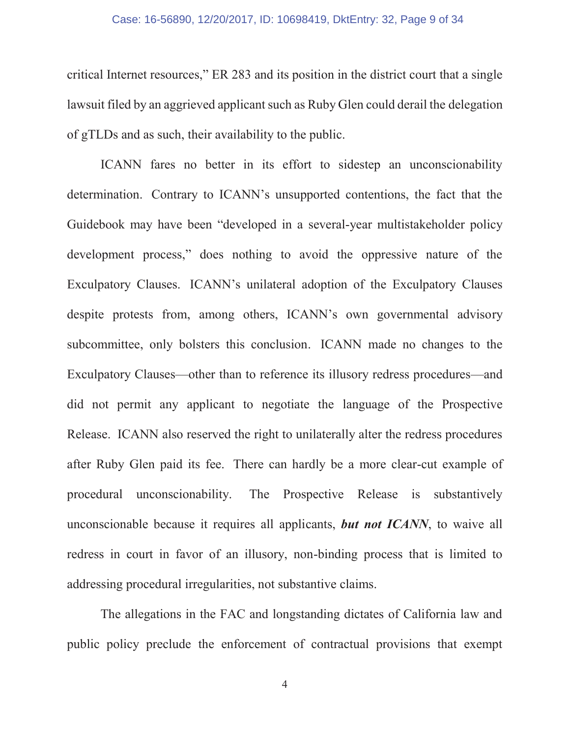#### Case: 16-56890, 12/20/2017, ID: 10698419, DktEntry: 32, Page 9 of 34

critical Internet resources," ER 283 and its position in the district court that a single lawsuit filed by an aggrieved applicant such as Ruby Glen could derail the delegation of gTLDs and as such, their availability to the public.

ICANN fares no better in its effort to sidestep an unconscionability determination. Contrary to ICANN's unsupported contentions, the fact that the Guidebook may have been "developed in a several-year multistakeholder policy development process," does nothing to avoid the oppressive nature of the Exculpatory Clauses. ICANN's unilateral adoption of the Exculpatory Clauses despite protests from, among others, ICANN's own governmental advisory subcommittee, only bolsters this conclusion. ICANN made no changes to the Exculpatory Clauses—other than to reference its illusory redress procedures—and did not permit any applicant to negotiate the language of the Prospective Release. ICANN also reserved the right to unilaterally alter the redress procedures after Ruby Glen paid its fee. There can hardly be a more clear-cut example of procedural unconscionability. The Prospective Release is substantively unconscionable because it requires all applicants, *but not ICANN*, to waive all redress in court in favor of an illusory, non-binding process that is limited to addressing procedural irregularities, not substantive claims.

The allegations in the FAC and longstanding dictates of California law and public policy preclude the enforcement of contractual provisions that exempt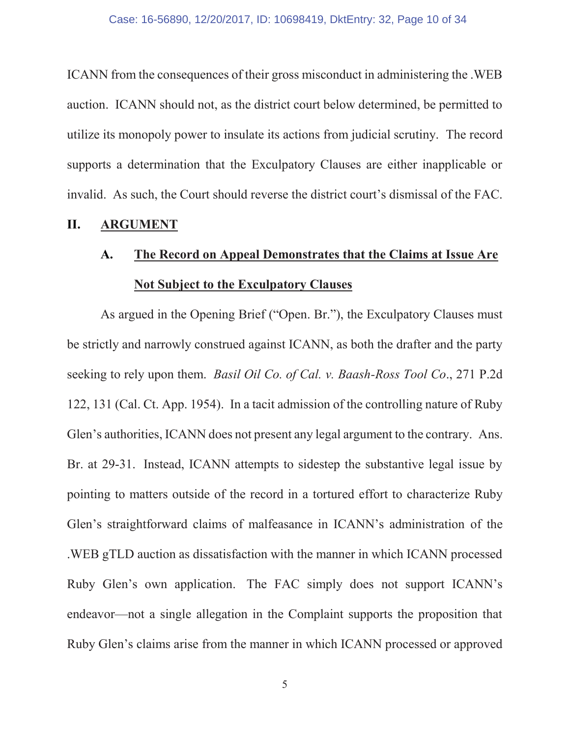ICANN from the consequences of their gross misconduct in administering the .WEB auction. ICANN should not, as the district court below determined, be permitted to utilize its monopoly power to insulate its actions from judicial scrutiny. The record supports a determination that the Exculpatory Clauses are either inapplicable or invalid. As such, the Court should reverse the district court's dismissal of the FAC.

### **II. ARGUMENT**

# **A. The Record on Appeal Demonstrates that the Claims at Issue Are Not Subject to the Exculpatory Clauses**

As argued in the Opening Brief ("Open. Br."), the Exculpatory Clauses must be strictly and narrowly construed against ICANN, as both the drafter and the party seeking to rely upon them. *Basil Oil Co. of Cal. v. Baash-Ross Tool Co*., 271 P.2d 122, 131 (Cal. Ct. App. 1954). In a tacit admission of the controlling nature of Ruby Glen's authorities, ICANN does not present any legal argument to the contrary. Ans. Br. at 29-31. Instead, ICANN attempts to sidestep the substantive legal issue by pointing to matters outside of the record in a tortured effort to characterize Ruby Glen's straightforward claims of malfeasance in ICANN's administration of the .WEB gTLD auction as dissatisfaction with the manner in which ICANN processed Ruby Glen's own application. The FAC simply does not support ICANN's endeavor—not a single allegation in the Complaint supports the proposition that Ruby Glen's claims arise from the manner in which ICANN processed or approved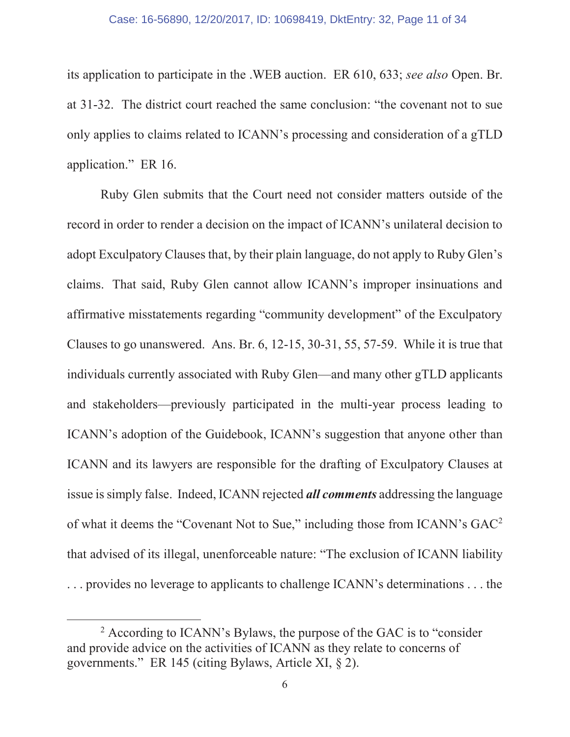#### Case: 16-56890, 12/20/2017, ID: 10698419, DktEntry: 32, Page 11 of 34

its application to participate in the .WEB auction. ER 610, 633; *see also* Open. Br. at 31-32. The district court reached the same conclusion: "the covenant not to sue only applies to claims related to ICANN's processing and consideration of a gTLD application." ER 16.

Ruby Glen submits that the Court need not consider matters outside of the record in order to render a decision on the impact of ICANN's unilateral decision to adopt Exculpatory Clauses that, by their plain language, do not apply to Ruby Glen's claims. That said, Ruby Glen cannot allow ICANN's improper insinuations and affirmative misstatements regarding "community development" of the Exculpatory Clauses to go unanswered. Ans. Br. 6, 12-15, 30-31, 55, 57-59. While it is true that individuals currently associated with Ruby Glen—and many other gTLD applicants and stakeholders—previously participated in the multi-year process leading to ICANN's adoption of the Guidebook, ICANN's suggestion that anyone other than ICANN and its lawyers are responsible for the drafting of Exculpatory Clauses at issue is simply false. Indeed, ICANN rejected *all comments* addressing the language of what it deems the "Covenant Not to Sue," including those from ICANN's GAC<sup>2</sup> that advised of its illegal, unenforceable nature: "The exclusion of ICANN liability . . . provides no leverage to applicants to challenge ICANN's determinations . . . the

 <sup>2</sup>  $^2$  According to ICANN's Bylaws, the purpose of the GAC is to "consider" and provide advice on the activities of ICANN as they relate to concerns of governments." ER 145 (citing Bylaws, Article XI, § 2).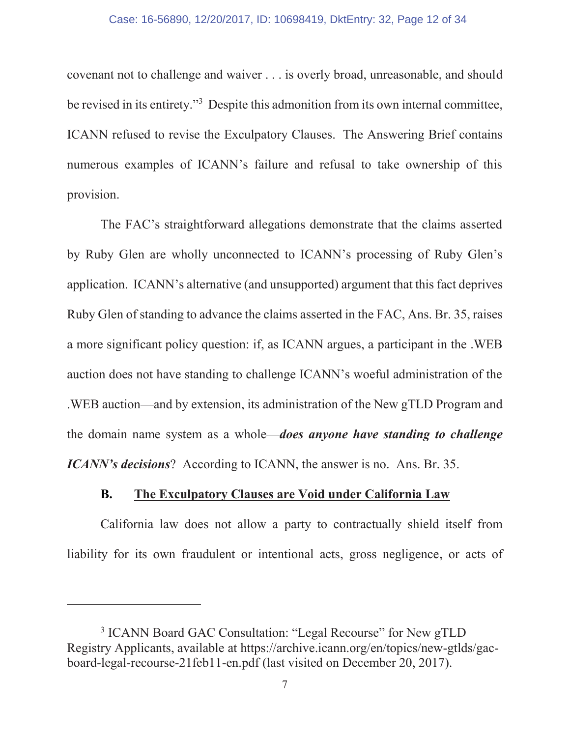#### Case: 16-56890, 12/20/2017, ID: 10698419, DktEntry: 32, Page 12 of 34

covenant not to challenge and waiver . . . is overly broad, unreasonable, and should be revised in its entirety."<sup>3</sup> Despite this admonition from its own internal committee, ICANN refused to revise the Exculpatory Clauses. The Answering Brief contains numerous examples of ICANN's failure and refusal to take ownership of this provision.

The FAC's straightforward allegations demonstrate that the claims asserted by Ruby Glen are wholly unconnected to ICANN's processing of Ruby Glen's application. ICANN's alternative (and unsupported) argument that this fact deprives Ruby Glen of standing to advance the claims asserted in the FAC, Ans. Br. 35, raises a more significant policy question: if, as ICANN argues, a participant in the .WEB auction does not have standing to challenge ICANN's woeful administration of the .WEB auction—and by extension, its administration of the New gTLD Program and the domain name system as a whole—*does anyone have standing to challenge ICANN's decisions*? According to ICANN, the answer is no. Ans. Br. 35.

### **B. The Exculpatory Clauses are Void under California Law**

California law does not allow a party to contractually shield itself from liability for its own fraudulent or intentional acts, gross negligence, or acts of

 $\overline{a}$ 

<sup>&</sup>lt;sup>3</sup> ICANN Board GAC Consultation: "Legal Recourse" for New gTLD Registry Applicants, available at https://archive.icann.org/en/topics/new-gtlds/gacboard-legal-recourse-21feb11-en.pdf (last visited on December 20, 2017).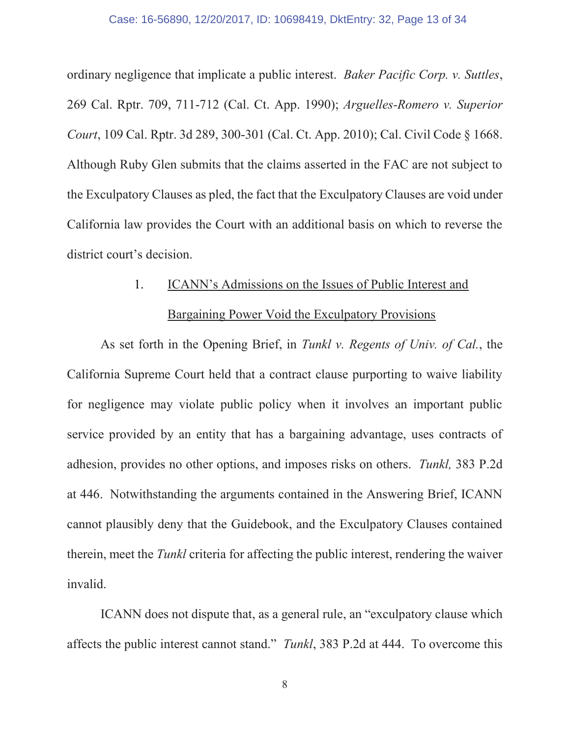ordinary negligence that implicate a public interest. *Baker Pacific Corp. v. Suttles*, 269 Cal. Rptr. 709, 711-712 (Cal. Ct. App. 1990); *Arguelles-Romero v. Superior Court*, 109 Cal. Rptr. 3d 289, 300-301 (Cal. Ct. App. 2010); Cal. Civil Code § 1668. Although Ruby Glen submits that the claims asserted in the FAC are not subject to the Exculpatory Clauses as pled, the fact that the Exculpatory Clauses are void under California law provides the Court with an additional basis on which to reverse the district court's decision.

# 1. ICANN's Admissions on the Issues of Public Interest and

# Bargaining Power Void the Exculpatory Provisions

As set forth in the Opening Brief, in *Tunkl v. Regents of Univ. of Cal.*, the California Supreme Court held that a contract clause purporting to waive liability for negligence may violate public policy when it involves an important public service provided by an entity that has a bargaining advantage, uses contracts of adhesion, provides no other options, and imposes risks on others. *Tunkl,* 383 P.2d at 446. Notwithstanding the arguments contained in the Answering Brief, ICANN cannot plausibly deny that the Guidebook, and the Exculpatory Clauses contained therein, meet the *Tunkl* criteria for affecting the public interest, rendering the waiver invalid.

ICANN does not dispute that, as a general rule, an "exculpatory clause which affects the public interest cannot stand." *Tunkl*, 383 P.2d at 444. To overcome this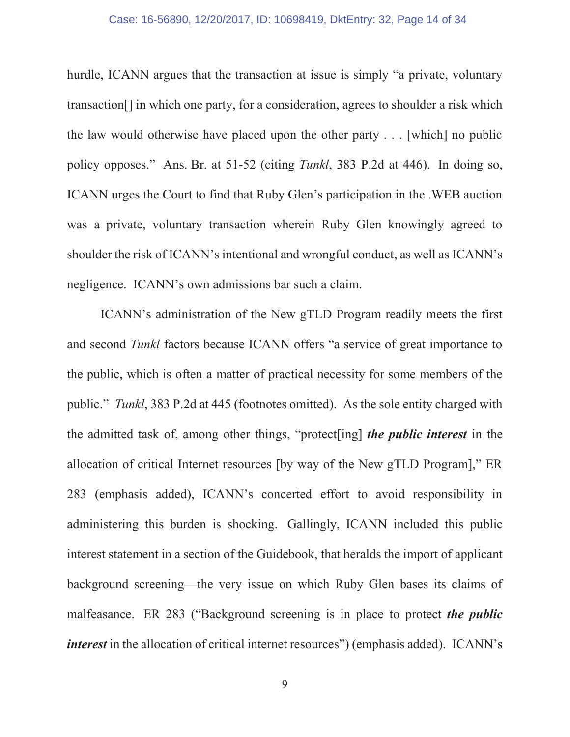#### Case: 16-56890, 12/20/2017, ID: 10698419, DktEntry: 32, Page 14 of 34

hurdle, ICANN argues that the transaction at issue is simply "a private, voluntary transaction[] in which one party, for a consideration, agrees to shoulder a risk which the law would otherwise have placed upon the other party . . . [which] no public policy opposes." Ans. Br. at 51-52 (citing *Tunkl*, 383 P.2d at 446). In doing so, ICANN urges the Court to find that Ruby Glen's participation in the .WEB auction was a private, voluntary transaction wherein Ruby Glen knowingly agreed to shoulder the risk of ICANN's intentional and wrongful conduct, as well as ICANN's negligence. ICANN's own admissions bar such a claim.

ICANN's administration of the New gTLD Program readily meets the first and second *Tunkl* factors because ICANN offers "a service of great importance to the public, which is often a matter of practical necessity for some members of the public." *Tunkl*, 383 P.2d at 445 (footnotes omitted). As the sole entity charged with the admitted task of, among other things, "protect[ing] *the public interest* in the allocation of critical Internet resources [by way of the New gTLD Program]," ER 283 (emphasis added), ICANN's concerted effort to avoid responsibility in administering this burden is shocking. Gallingly, ICANN included this public interest statement in a section of the Guidebook, that heralds the import of applicant background screening—the very issue on which Ruby Glen bases its claims of malfeasance. ER 283 ("Background screening is in place to protect *the public interest* in the allocation of critical internet resources") (emphasis added). ICANN's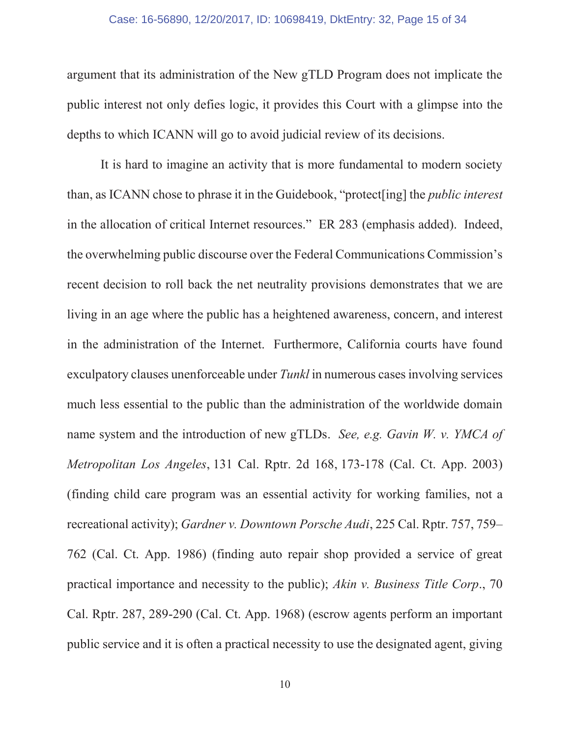#### Case: 16-56890, 12/20/2017, ID: 10698419, DktEntry: 32, Page 15 of 34

argument that its administration of the New gTLD Program does not implicate the public interest not only defies logic, it provides this Court with a glimpse into the depths to which ICANN will go to avoid judicial review of its decisions.

It is hard to imagine an activity that is more fundamental to modern society than, as ICANN chose to phrase it in the Guidebook, "protect[ing] the *public interest* in the allocation of critical Internet resources." ER 283 (emphasis added). Indeed, the overwhelming public discourse over the Federal Communications Commission's recent decision to roll back the net neutrality provisions demonstrates that we are living in an age where the public has a heightened awareness, concern, and interest in the administration of the Internet. Furthermore, California courts have found exculpatory clauses unenforceable under *Tunkl* in numerous cases involving services much less essential to the public than the administration of the worldwide domain name system and the introduction of new gTLDs. *See, e.g. Gavin W. v. YMCA of Metropolitan Los Angeles*, 131 Cal. Rptr. 2d 168, 173-178 (Cal. Ct. App. 2003) (finding child care program was an essential activity for working families, not a recreational activity); *Gardner v. Downtown Porsche Audi*, 225 Cal. Rptr. 757, 759– 762 (Cal. Ct. App. 1986) (finding auto repair shop provided a service of great practical importance and necessity to the public); *Akin v. Business Title Corp*., 70 Cal. Rptr. 287, 289-290 (Cal. Ct. App. 1968) (escrow agents perform an important public service and it is often a practical necessity to use the designated agent, giving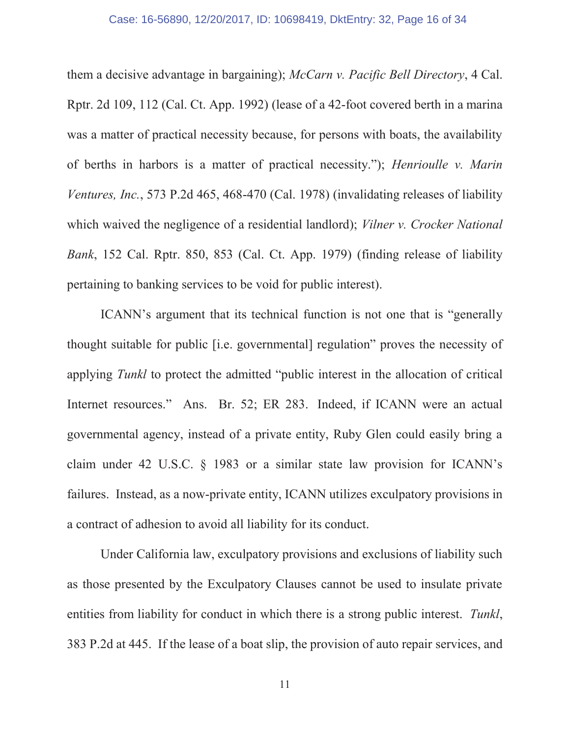them a decisive advantage in bargaining); *McCarn v. Pacific Bell Directory*, 4 Cal. Rptr. 2d 109, 112 (Cal. Ct. App. 1992) (lease of a 42-foot covered berth in a marina was a matter of practical necessity because, for persons with boats, the availability of berths in harbors is a matter of practical necessity."); *Henrioulle v. Marin Ventures, Inc.*, 573 P.2d 465, 468-470 (Cal. 1978) (invalidating releases of liability which waived the negligence of a residential landlord); *Vilner v. Crocker National Bank*, 152 Cal. Rptr. 850, 853 (Cal. Ct. App. 1979) (finding release of liability pertaining to banking services to be void for public interest).

ICANN's argument that its technical function is not one that is "generally thought suitable for public [i.e. governmental] regulation" proves the necessity of applying *Tunkl* to protect the admitted "public interest in the allocation of critical Internet resources." Ans. Br. 52; ER 283. Indeed, if ICANN were an actual governmental agency, instead of a private entity, Ruby Glen could easily bring a claim under 42 U.S.C. § 1983 or a similar state law provision for ICANN's failures. Instead, as a now-private entity, ICANN utilizes exculpatory provisions in a contract of adhesion to avoid all liability for its conduct.

Under California law, exculpatory provisions and exclusions of liability such as those presented by the Exculpatory Clauses cannot be used to insulate private entities from liability for conduct in which there is a strong public interest. *Tunkl*, 383 P.2d at 445. If the lease of a boat slip, the provision of auto repair services, and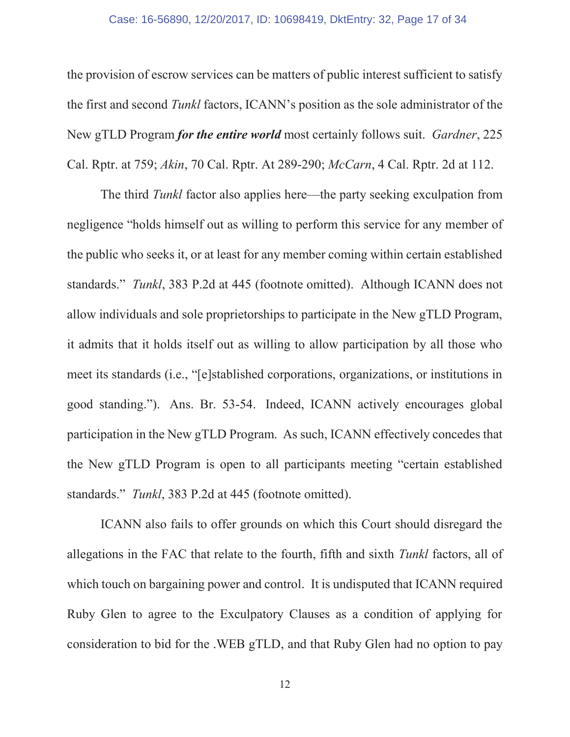#### Case: 16-56890, 12/20/2017, ID: 10698419, DktEntry: 32, Page 17 of 34

the provision of escrow services can be matters of public interest sufficient to satisfy the first and second *Tunkl* factors, ICANN's position as the sole administrator of the New gTLD Program *for the entire world* most certainly follows suit. *Gardner*, 225 Cal. Rptr. at 759; *Akin*, 70 Cal. Rptr. At 289-290; *McCarn*, 4 Cal. Rptr. 2d at 112.

The third *Tunkl* factor also applies here—the party seeking exculpation from negligence "holds himself out as willing to perform this service for any member of the public who seeks it, or at least for any member coming within certain established standards." *Tunkl*, 383 P.2d at 445 (footnote omitted). Although ICANN does not allow individuals and sole proprietorships to participate in the New gTLD Program, it admits that it holds itself out as willing to allow participation by all those who meet its standards (i.e., "[e]stablished corporations, organizations, or institutions in good standing."). Ans. Br. 53-54. Indeed, ICANN actively encourages global participation in the New gTLD Program. As such, ICANN effectively concedes that the New gTLD Program is open to all participants meeting "certain established standards." *Tunkl*, 383 P.2d at 445 (footnote omitted).

ICANN also fails to offer grounds on which this Court should disregard the allegations in the FAC that relate to the fourth, fifth and sixth *Tunkl* factors, all of which touch on bargaining power and control. It is undisputed that ICANN required Ruby Glen to agree to the Exculpatory Clauses as a condition of applying for consideration to bid for the .WEB gTLD, and that Ruby Glen had no option to pay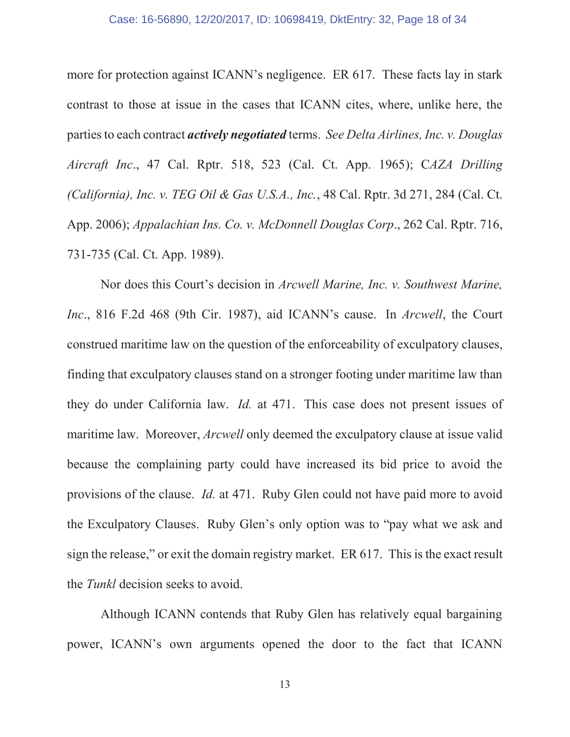#### Case: 16-56890, 12/20/2017, ID: 10698419, DktEntry: 32, Page 18 of 34

more for protection against ICANN's negligence. ER 617. These facts lay in stark contrast to those at issue in the cases that ICANN cites, where, unlike here, the parties to each contract *actively negotiated* terms. *See Delta Airlines, Inc. v. Douglas Aircraft Inc*., 47 Cal. Rptr. 518, 523 (Cal. Ct. App. 1965); C*AZA Drilling (California), Inc. v. TEG Oil & Gas U.S.A., Inc.*, 48 Cal. Rptr. 3d 271, 284 (Cal. Ct. App. 2006); *Appalachian Ins. Co. v. McDonnell Douglas Corp*., 262 Cal. Rptr. 716, 731-735 (Cal. Ct. App. 1989).

Nor does this Court's decision in *Arcwell Marine, Inc. v. Southwest Marine, Inc*., 816 F.2d 468 (9th Cir. 1987), aid ICANN's cause. In *Arcwell*, the Court construed maritime law on the question of the enforceability of exculpatory clauses, finding that exculpatory clauses stand on a stronger footing under maritime law than they do under California law. *Id.* at 471. This case does not present issues of maritime law. Moreover, *Arcwell* only deemed the exculpatory clause at issue valid because the complaining party could have increased its bid price to avoid the provisions of the clause. *Id.* at 471. Ruby Glen could not have paid more to avoid the Exculpatory Clauses. Ruby Glen's only option was to "pay what we ask and sign the release," or exit the domain registry market. ER 617. This is the exact result the *Tunkl* decision seeks to avoid.

Although ICANN contends that Ruby Glen has relatively equal bargaining power, ICANN's own arguments opened the door to the fact that ICANN

13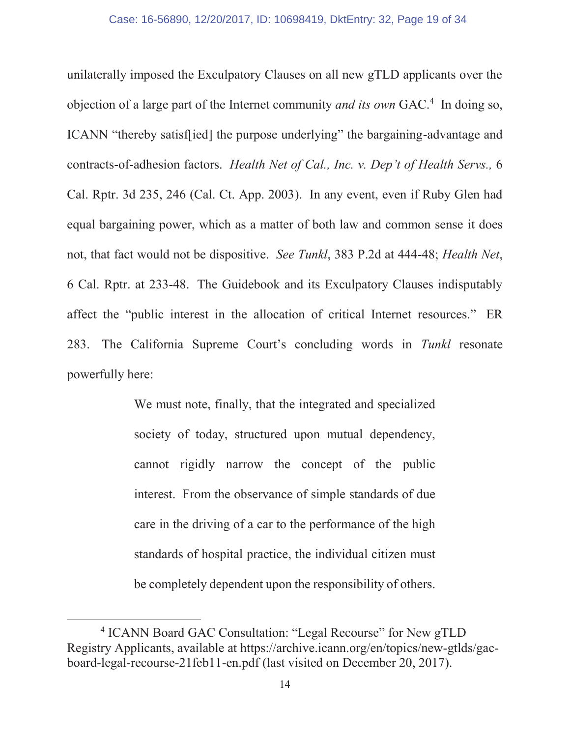unilaterally imposed the Exculpatory Clauses on all new gTLD applicants over the objection of a large part of the Internet community *and its own* GAC.4 In doing so, ICANN "thereby satisf[ied] the purpose underlying" the bargaining-advantage and contracts-of-adhesion factors. *Health Net of Cal., Inc. v. Dep't of Health Servs.,* 6 Cal. Rptr. 3d 235, 246 (Cal. Ct. App. 2003). In any event, even if Ruby Glen had equal bargaining power, which as a matter of both law and common sense it does not, that fact would not be dispositive. *See Tunkl*, 383 P.2d at 444-48; *Health Net*, 6 Cal. Rptr. at 233-48. The Guidebook and its Exculpatory Clauses indisputably affect the "public interest in the allocation of critical Internet resources." ER 283. The California Supreme Court's concluding words in *Tunkl* resonate powerfully here:

> We must note, finally, that the integrated and specialized society of today, structured upon mutual dependency, cannot rigidly narrow the concept of the public interest. From the observance of simple standards of due care in the driving of a car to the performance of the high standards of hospital practice, the individual citizen must be completely dependent upon the responsibility of others.

 <sup>4</sup> ICANN Board GAC Consultation: "Legal Recourse" for New gTLD Registry Applicants, available at https://archive.icann.org/en/topics/new-gtlds/gacboard-legal-recourse-21feb11-en.pdf (last visited on December 20, 2017).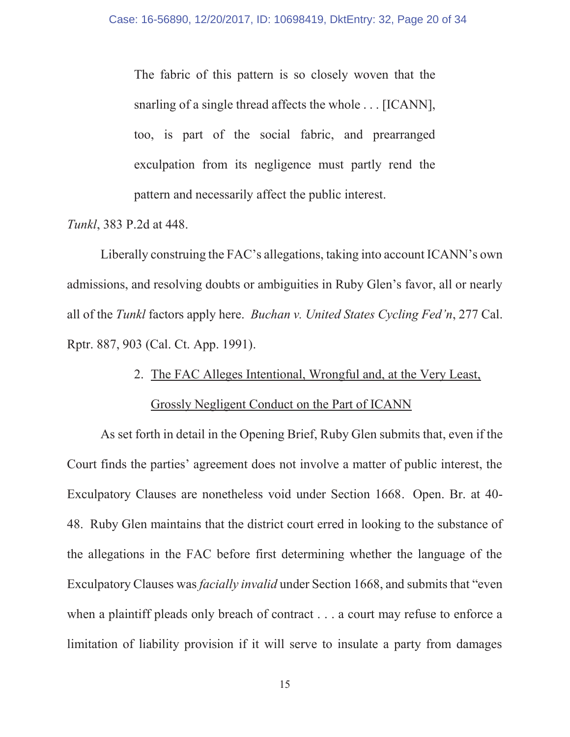The fabric of this pattern is so closely woven that the snarling of a single thread affects the whole . . . [ICANN], too, is part of the social fabric, and prearranged exculpation from its negligence must partly rend the pattern and necessarily affect the public interest.

*Tunkl*, 383 P.2d at 448.

Liberally construing the FAC's allegations, taking into account ICANN's own admissions, and resolving doubts or ambiguities in Ruby Glen's favor, all or nearly all of the *Tunkl* factors apply here. *Buchan v. United States Cycling Fed'n*, 277 Cal. Rptr. 887, 903 (Cal. Ct. App. 1991).

2. The FAC Alleges Intentional, Wrongful and, at the Very Least,

### Grossly Negligent Conduct on the Part of ICANN

As set forth in detail in the Opening Brief, Ruby Glen submits that, even if the Court finds the parties' agreement does not involve a matter of public interest, the Exculpatory Clauses are nonetheless void under Section 1668. Open. Br. at 40- 48. Ruby Glen maintains that the district court erred in looking to the substance of the allegations in the FAC before first determining whether the language of the Exculpatory Clauses was *facially invalid* under Section 1668, and submits that "even when a plaintiff pleads only breach of contract . . . a court may refuse to enforce a limitation of liability provision if it will serve to insulate a party from damages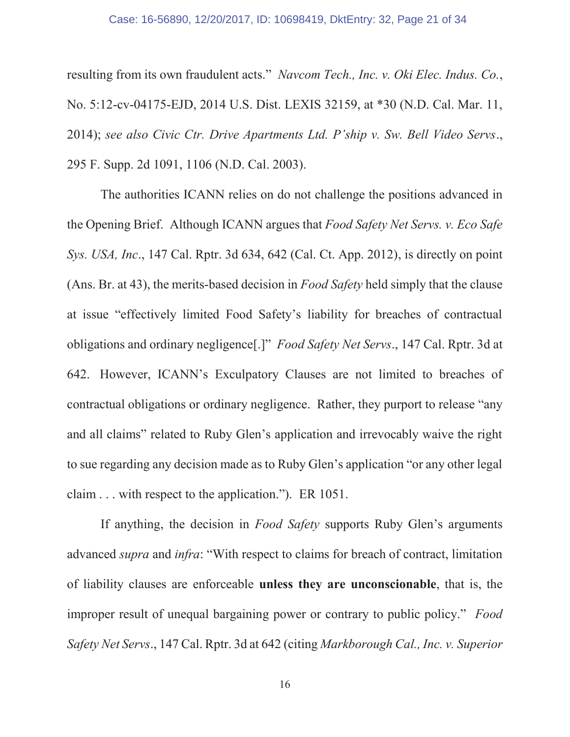#### Case: 16-56890, 12/20/2017, ID: 10698419, DktEntry: 32, Page 21 of 34

resulting from its own fraudulent acts." *Navcom Tech., Inc. v. Oki Elec. Indus. Co.*, No. 5:12-cv-04175-EJD, 2014 U.S. Dist. LEXIS 32159, at \*30 (N.D. Cal. Mar. 11, 2014); *see also Civic Ctr. Drive Apartments Ltd. P'ship v. Sw. Bell Video Servs*., 295 F. Supp. 2d 1091, 1106 (N.D. Cal. 2003).

The authorities ICANN relies on do not challenge the positions advanced in the Opening Brief. Although ICANN argues that *Food Safety Net Servs. v. Eco Safe Sys. USA, Inc*., 147 Cal. Rptr. 3d 634, 642 (Cal. Ct. App. 2012), is directly on point (Ans. Br. at 43), the merits-based decision in *Food Safety* held simply that the clause at issue "effectively limited Food Safety's liability for breaches of contractual obligations and ordinary negligence[.]" *Food Safety Net Servs*., 147 Cal. Rptr. 3d at 642. However, ICANN's Exculpatory Clauses are not limited to breaches of contractual obligations or ordinary negligence. Rather, they purport to release "any and all claims" related to Ruby Glen's application and irrevocably waive the right to sue regarding any decision made as to Ruby Glen's application "or any other legal claim . . . with respect to the application."). ER 1051.

If anything, the decision in *Food Safety* supports Ruby Glen's arguments advanced *supra* and *infra*: "With respect to claims for breach of contract, limitation of liability clauses are enforceable **unless they are unconscionable**, that is, the improper result of unequal bargaining power or contrary to public policy." *Food Safety Net Servs*., 147 Cal. Rptr. 3d at 642 (citing *Markborough Cal., Inc. v. Superior* 

16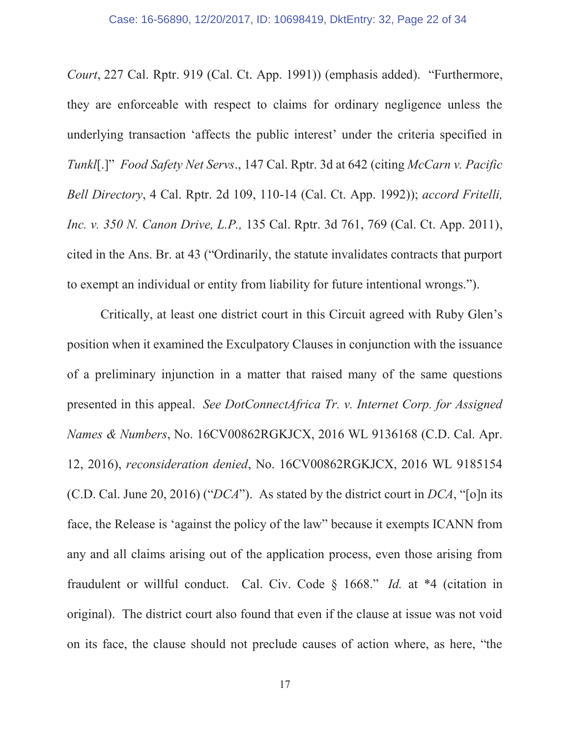*Court*, 227 Cal. Rptr. 919 (Cal. Ct. App. 1991)) (emphasis added). "Furthermore, they are enforceable with respect to claims for ordinary negligence unless the underlying transaction 'affects the public interest' under the criteria specified in *Tunkl*[.]" *Food Safety Net Servs*., 147 Cal. Rptr. 3d at 642 (citing *McCarn v. Pacific Bell Directory*, 4 Cal. Rptr. 2d 109, 110-14 (Cal. Ct. App. 1992)); *accord Fritelli, Inc. v. 350 N. Canon Drive, L.P.,* 135 Cal. Rptr. 3d 761, 769 (Cal. Ct. App. 2011), cited in the Ans. Br. at 43 ("Ordinarily, the statute invalidates contracts that purport to exempt an individual or entity from liability for future intentional wrongs.").

Critically, at least one district court in this Circuit agreed with Ruby Glen's position when it examined the Exculpatory Clauses in conjunction with the issuance of a preliminary injunction in a matter that raised many of the same questions presented in this appeal. *See DotConnectAfrica Tr. v. Internet Corp. for Assigned Names & Numbers*, No. 16CV00862RGKJCX, 2016 WL 9136168 (C.D. Cal. Apr. 12, 2016), *reconsideration denied*, No. 16CV00862RGKJCX, 2016 WL 9185154 (C.D. Cal. June 20, 2016) ("*DCA*"). As stated by the district court in *DCA*, "[o]n its face, the Release is 'against the policy of the law" because it exempts ICANN from any and all claims arising out of the application process, even those arising from fraudulent or willful conduct. Cal. Civ. Code § 1668." *Id.* at \*4 (citation in original). The district court also found that even if the clause at issue was not void on its face, the clause should not preclude causes of action where, as here, "the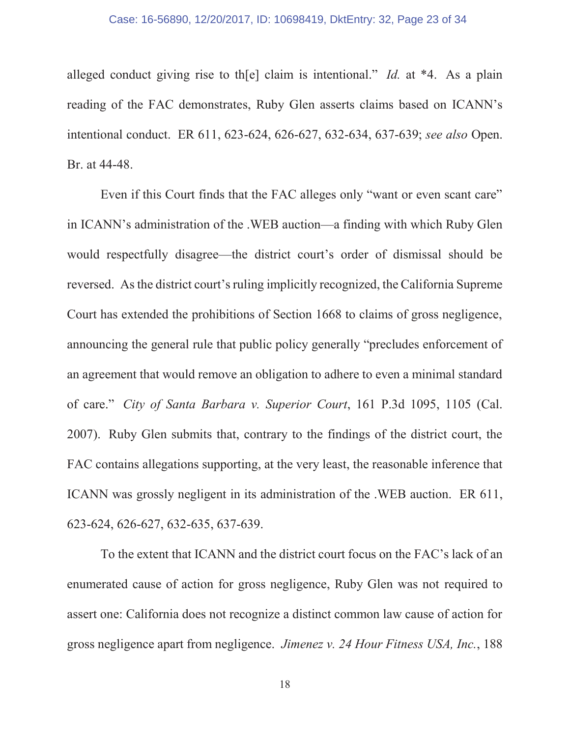#### Case: 16-56890, 12/20/2017, ID: 10698419, DktEntry: 32, Page 23 of 34

alleged conduct giving rise to th[e] claim is intentional." *Id.* at \*4. As a plain reading of the FAC demonstrates, Ruby Glen asserts claims based on ICANN's intentional conduct. ER 611, 623-624, 626-627, 632-634, 637-639; *see also* Open. Br. at 44-48.

Even if this Court finds that the FAC alleges only "want or even scant care" in ICANN's administration of the .WEB auction—a finding with which Ruby Glen would respectfully disagree—the district court's order of dismissal should be reversed. As the district court's ruling implicitly recognized, the California Supreme Court has extended the prohibitions of Section 1668 to claims of gross negligence, announcing the general rule that public policy generally "precludes enforcement of an agreement that would remove an obligation to adhere to even a minimal standard of care." *City of Santa Barbara v. Superior Court*, 161 P.3d 1095, 1105 (Cal. 2007). Ruby Glen submits that, contrary to the findings of the district court, the FAC contains allegations supporting, at the very least, the reasonable inference that ICANN was grossly negligent in its administration of the .WEB auction. ER 611, 623-624, 626-627, 632-635, 637-639.

To the extent that ICANN and the district court focus on the FAC's lack of an enumerated cause of action for gross negligence, Ruby Glen was not required to assert one: California does not recognize a distinct common law cause of action for gross negligence apart from negligence. *Jimenez v. 24 Hour Fitness USA, Inc.*, 188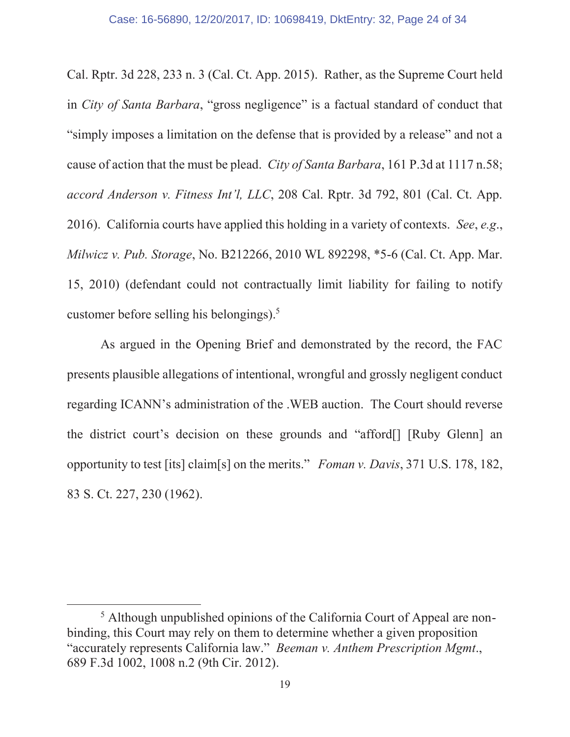Cal. Rptr. 3d 228, 233 n. 3 (Cal. Ct. App. 2015). Rather, as the Supreme Court held in *City of Santa Barbara*, "gross negligence" is a factual standard of conduct that "simply imposes a limitation on the defense that is provided by a release" and not a cause of action that the must be plead. *City of Santa Barbara*, 161 P.3d at 1117 n.58; *accord Anderson v. Fitness Int'l, LLC*, 208 Cal. Rptr. 3d 792, 801 (Cal. Ct. App. 2016). California courts have applied this holding in a variety of contexts. *See*, *e.g*., *Milwicz v. Pub. Storage*, No. B212266, 2010 WL 892298, \*5-6 (Cal. Ct. App. Mar. 15, 2010) (defendant could not contractually limit liability for failing to notify customer before selling his belongings).5

As argued in the Opening Brief and demonstrated by the record, the FAC presents plausible allegations of intentional, wrongful and grossly negligent conduct regarding ICANN's administration of the .WEB auction. The Court should reverse the district court's decision on these grounds and "afford[] [Ruby Glenn] an opportunity to test [its] claim[s] on the merits." *Foman v. Davis*, 371 U.S. 178, 182, 83 S. Ct. 227, 230 (1962).

 $rac{1}{5}$  Although unpublished opinions of the California Court of Appeal are nonbinding, this Court may rely on them to determine whether a given proposition "accurately represents California law." *Beeman v. Anthem Prescription Mgmt*., 689 F.3d 1002, 1008 n.2 (9th Cir. 2012).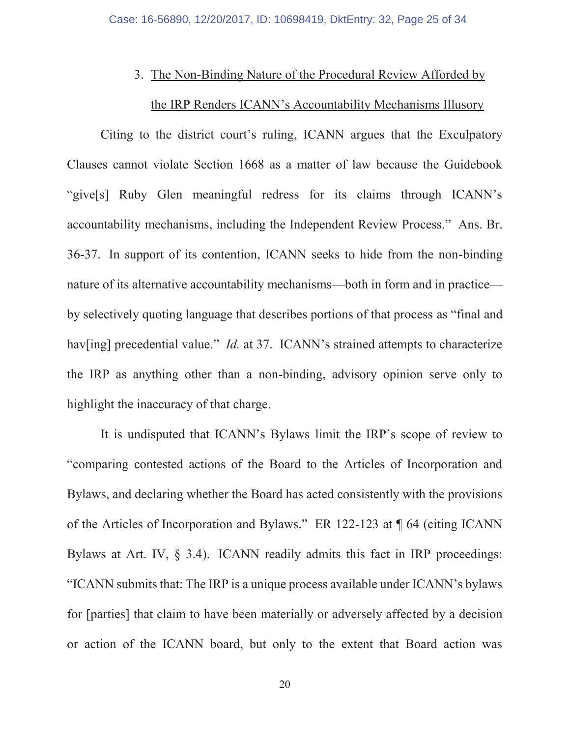#### 3. The Non-Binding Nature of the Procedural Review Afforded by

# the IRP Renders ICANN's Accountability Mechanisms Illusory

Citing to the district court's ruling, ICANN argues that the Exculpatory Clauses cannot violate Section 1668 as a matter of law because the Guidebook "give[s] Ruby Glen meaningful redress for its claims through ICANN's accountability mechanisms, including the Independent Review Process." Ans. Br. 36-37. In support of its contention, ICANN seeks to hide from the non-binding nature of its alternative accountability mechanisms—both in form and in practice by selectively quoting language that describes portions of that process as "final and hav[ing] precedential value." *Id.* at 37. ICANN's strained attempts to characterize the IRP as anything other than a non-binding, advisory opinion serve only to highlight the inaccuracy of that charge.

It is undisputed that ICANN's Bylaws limit the IRP's scope of review to "comparing contested actions of the Board to the Articles of Incorporation and Bylaws, and declaring whether the Board has acted consistently with the provisions of the Articles of Incorporation and Bylaws." ER 122-123 at ¶ 64 (citing ICANN Bylaws at Art. IV, § 3.4). ICANN readily admits this fact in IRP proceedings: "ICANN submits that: The IRP is a unique process available under ICANN's bylaws for [parties] that claim to have been materially or adversely affected by a decision or action of the ICANN board, but only to the extent that Board action was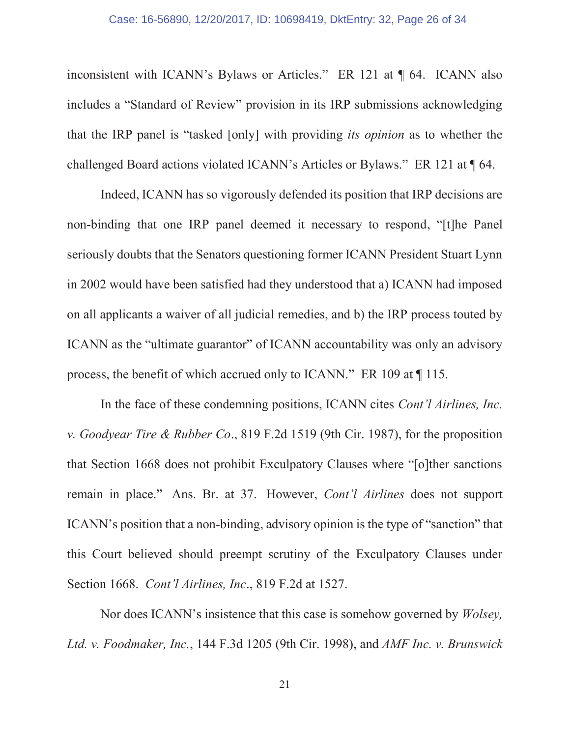#### Case: 16-56890, 12/20/2017, ID: 10698419, DktEntry: 32, Page 26 of 34

inconsistent with ICANN's Bylaws or Articles." ER 121 at ¶ 64. ICANN also includes a "Standard of Review" provision in its IRP submissions acknowledging that the IRP panel is "tasked [only] with providing *its opinion* as to whether the challenged Board actions violated ICANN's Articles or Bylaws." ER 121 at ¶ 64.

Indeed, ICANN has so vigorously defended its position that IRP decisions are non-binding that one IRP panel deemed it necessary to respond, "[t]he Panel seriously doubts that the Senators questioning former ICANN President Stuart Lynn in 2002 would have been satisfied had they understood that a) ICANN had imposed on all applicants a waiver of all judicial remedies, and b) the IRP process touted by ICANN as the "ultimate guarantor" of ICANN accountability was only an advisory process, the benefit of which accrued only to ICANN." ER 109 at ¶ 115.

In the face of these condemning positions, ICANN cites *Cont'l Airlines, Inc. v. Goodyear Tire & Rubber Co*., 819 F.2d 1519 (9th Cir. 1987), for the proposition that Section 1668 does not prohibit Exculpatory Clauses where "[o]ther sanctions remain in place." Ans. Br. at 37. However, *Cont'l Airlines* does not support ICANN's position that a non-binding, advisory opinion is the type of "sanction" that this Court believed should preempt scrutiny of the Exculpatory Clauses under Section 1668. *Cont'l Airlines, Inc*., 819 F.2d at 1527.

Nor does ICANN's insistence that this case is somehow governed by *Wolsey, Ltd. v. Foodmaker, Inc.*, 144 F.3d 1205 (9th Cir. 1998), and *AMF Inc. v. Brunswick*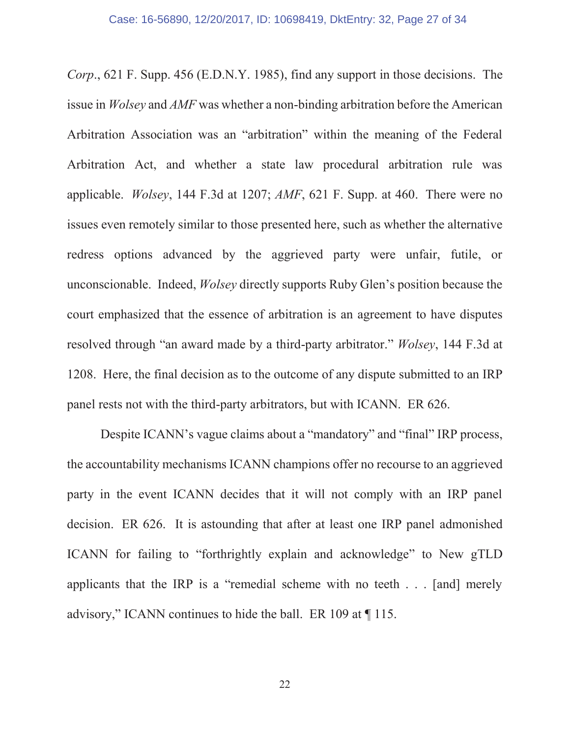*Corp*., 621 F. Supp. 456 (E.D.N.Y. 1985), find any support in those decisions. The issue in *Wolsey* and *AMF* was whether a non-binding arbitration before the American Arbitration Association was an "arbitration" within the meaning of the Federal Arbitration Act, and whether a state law procedural arbitration rule was applicable. *Wolsey*, 144 F.3d at 1207; *AMF*, 621 F. Supp. at 460. There were no issues even remotely similar to those presented here, such as whether the alternative redress options advanced by the aggrieved party were unfair, futile, or unconscionable. Indeed, *Wolsey* directly supports Ruby Glen's position because the court emphasized that the essence of arbitration is an agreement to have disputes resolved through "an award made by a third-party arbitrator." *Wolsey*, 144 F.3d at 1208. Here, the final decision as to the outcome of any dispute submitted to an IRP panel rests not with the third-party arbitrators, but with ICANN. ER 626.

Despite ICANN's vague claims about a "mandatory" and "final" IRP process, the accountability mechanisms ICANN champions offer no recourse to an aggrieved party in the event ICANN decides that it will not comply with an IRP panel decision. ER 626. It is astounding that after at least one IRP panel admonished ICANN for failing to "forthrightly explain and acknowledge" to New gTLD applicants that the IRP is a "remedial scheme with no teeth . . . [and] merely advisory," ICANN continues to hide the ball. ER 109 at ¶ 115.

22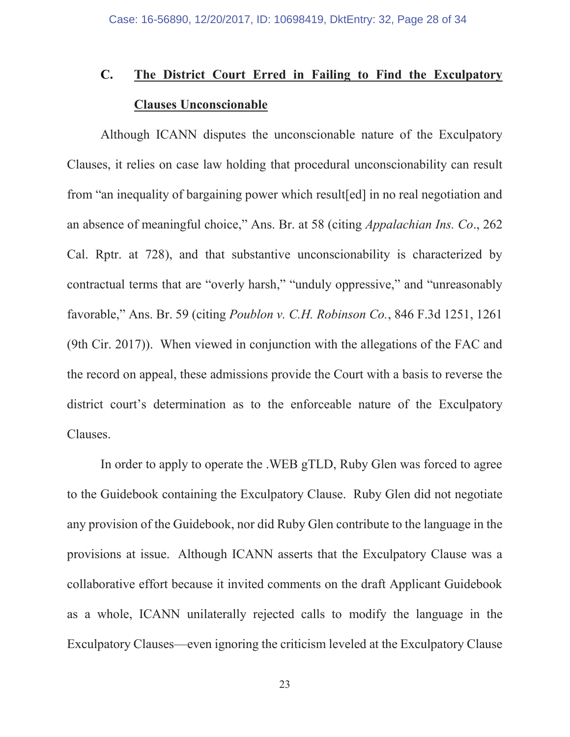# **C. The District Court Erred in Failing to Find the Exculpatory Clauses Unconscionable**

Although ICANN disputes the unconscionable nature of the Exculpatory Clauses, it relies on case law holding that procedural unconscionability can result from "an inequality of bargaining power which result[ed] in no real negotiation and an absence of meaningful choice," Ans. Br. at 58 (citing *Appalachian Ins. Co*., 262 Cal. Rptr. at 728), and that substantive unconscionability is characterized by contractual terms that are "overly harsh," "unduly oppressive," and "unreasonably favorable," Ans. Br. 59 (citing *Poublon v. C.H. Robinson Co.*, 846 F.3d 1251, 1261 (9th Cir. 2017)). When viewed in conjunction with the allegations of the FAC and the record on appeal, these admissions provide the Court with a basis to reverse the district court's determination as to the enforceable nature of the Exculpatory Clauses.

In order to apply to operate the .WEB gTLD, Ruby Glen was forced to agree to the Guidebook containing the Exculpatory Clause. Ruby Glen did not negotiate any provision of the Guidebook, nor did Ruby Glen contribute to the language in the provisions at issue. Although ICANN asserts that the Exculpatory Clause was a collaborative effort because it invited comments on the draft Applicant Guidebook as a whole, ICANN unilaterally rejected calls to modify the language in the Exculpatory Clauses—even ignoring the criticism leveled at the Exculpatory Clause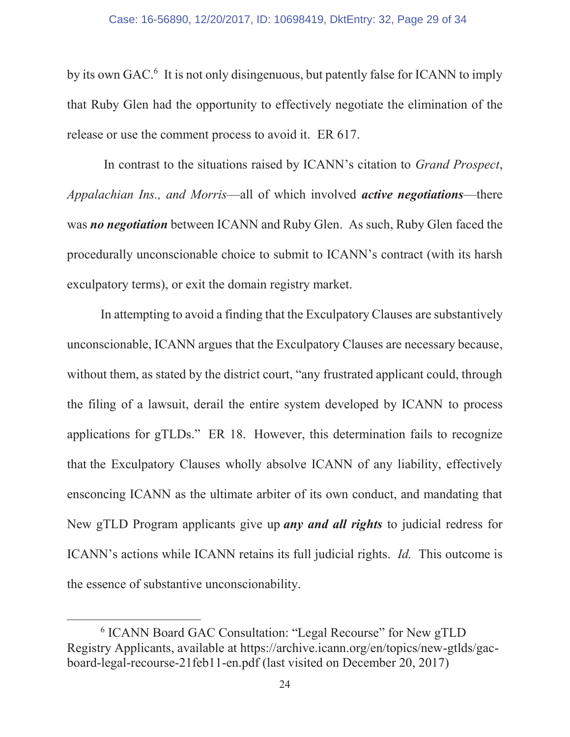by its own GAC.<sup>6</sup> It is not only disingenuous, but patently false for ICANN to imply that Ruby Glen had the opportunity to effectively negotiate the elimination of the release or use the comment process to avoid it. ER 617.

In contrast to the situations raised by ICANN's citation to *Grand Prospect*, *Appalachian Ins., and Morris*—all of which involved *active negotiations*—there was *no negotiation* between ICANN and Ruby Glen. As such, Ruby Glen faced the procedurally unconscionable choice to submit to ICANN's contract (with its harsh exculpatory terms), or exit the domain registry market.

In attempting to avoid a finding that the Exculpatory Clauses are substantively unconscionable, ICANN argues that the Exculpatory Clauses are necessary because, without them, as stated by the district court, "any frustrated applicant could, through the filing of a lawsuit, derail the entire system developed by ICANN to process applications for gTLDs." ER 18. However, this determination fails to recognize that the Exculpatory Clauses wholly absolve ICANN of any liability, effectively ensconcing ICANN as the ultimate arbiter of its own conduct, and mandating that New gTLD Program applicants give up *any and all rights* to judicial redress for ICANN's actions while ICANN retains its full judicial rights. *Id.* This outcome is the essence of substantive unconscionability.

 <sup>6</sup> ICANN Board GAC Consultation: "Legal Recourse" for New gTLD Registry Applicants, available at https://archive.icann.org/en/topics/new-gtlds/gacboard-legal-recourse-21feb11-en.pdf (last visited on December 20, 2017)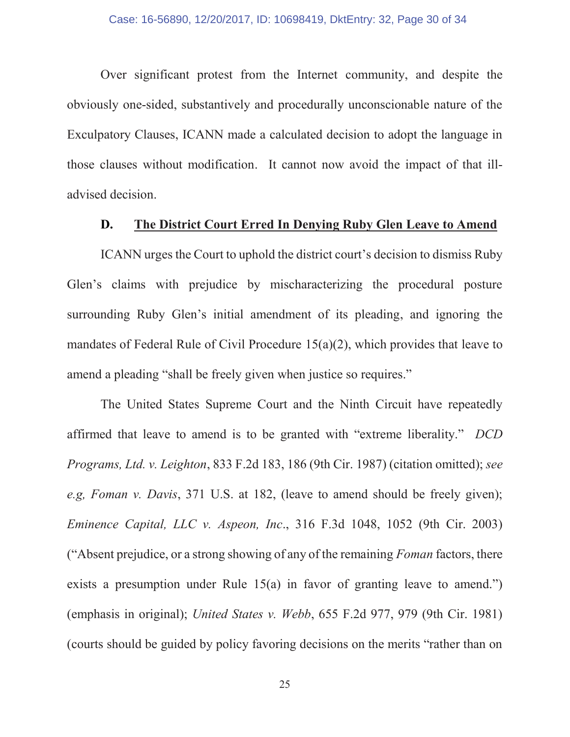Over significant protest from the Internet community, and despite the obviously one-sided, substantively and procedurally unconscionable nature of the Exculpatory Clauses, ICANN made a calculated decision to adopt the language in those clauses without modification. It cannot now avoid the impact of that illadvised decision.

## **D. The District Court Erred In Denying Ruby Glen Leave to Amend**

ICANN urges the Court to uphold the district court's decision to dismiss Ruby Glen's claims with prejudice by mischaracterizing the procedural posture surrounding Ruby Glen's initial amendment of its pleading, and ignoring the mandates of Federal Rule of Civil Procedure 15(a)(2), which provides that leave to amend a pleading "shall be freely given when justice so requires."

The United States Supreme Court and the Ninth Circuit have repeatedly affirmed that leave to amend is to be granted with "extreme liberality." *DCD Programs, Ltd. v. Leighton*, 833 F.2d 183, 186 (9th Cir. 1987) (citation omitted); *see e.g, Foman v. Davis*, 371 U.S. at 182, (leave to amend should be freely given); *Eminence Capital, LLC v. Aspeon, Inc*., 316 F.3d 1048, 1052 (9th Cir. 2003) ("Absent prejudice, or a strong showing of any of the remaining *Foman* factors, there exists a presumption under Rule 15(a) in favor of granting leave to amend." (emphasis in original); *United States v. Webb*, 655 F.2d 977, 979 (9th Cir. 1981) (courts should be guided by policy favoring decisions on the merits "rather than on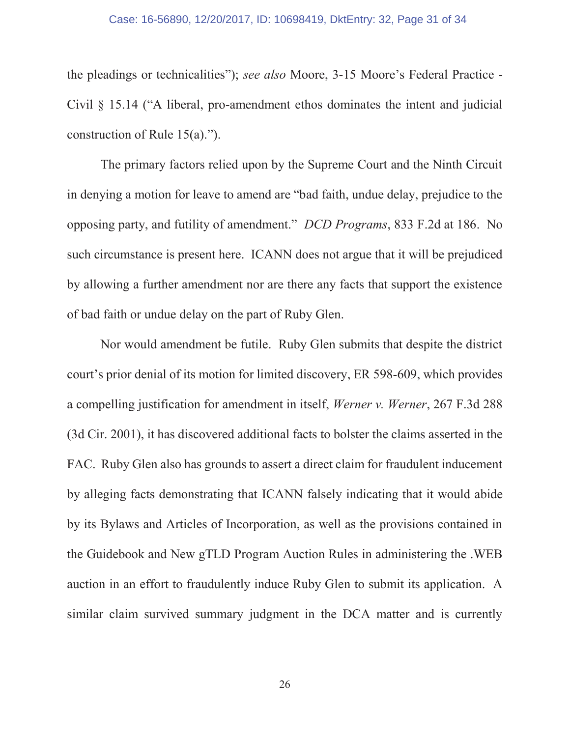the pleadings or technicalities"); *see also* Moore, 3-15 Moore's Federal Practice - Civil § 15.14 ("A liberal, pro-amendment ethos dominates the intent and judicial construction of Rule 15(a).").

The primary factors relied upon by the Supreme Court and the Ninth Circuit in denying a motion for leave to amend are "bad faith, undue delay, prejudice to the opposing party, and futility of amendment." *DCD Programs*, 833 F.2d at 186. No such circumstance is present here. ICANN does not argue that it will be prejudiced by allowing a further amendment nor are there any facts that support the existence of bad faith or undue delay on the part of Ruby Glen.

Nor would amendment be futile. Ruby Glen submits that despite the district court's prior denial of its motion for limited discovery, ER 598-609, which provides a compelling justification for amendment in itself, *Werner v. Werner*, 267 F.3d 288 (3d Cir. 2001), it has discovered additional facts to bolster the claims asserted in the FAC. Ruby Glen also has grounds to assert a direct claim for fraudulent inducement by alleging facts demonstrating that ICANN falsely indicating that it would abide by its Bylaws and Articles of Incorporation, as well as the provisions contained in the Guidebook and New gTLD Program Auction Rules in administering the .WEB auction in an effort to fraudulently induce Ruby Glen to submit its application. A similar claim survived summary judgment in the DCA matter and is currently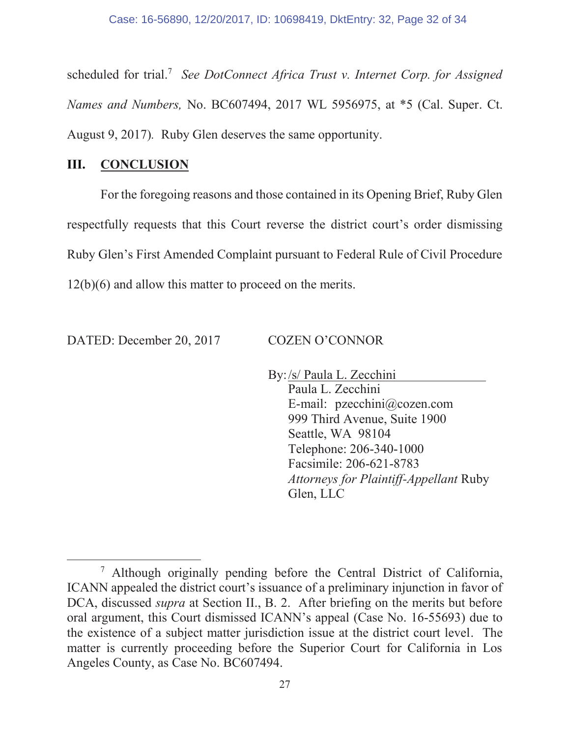scheduled for trial.<sup>7</sup> See DotConnect Africa Trust v. Internet Corp. for Assigned *Names and Numbers,* No. BC607494, 2017 WL 5956975, at \*5 (Cal. Super. Ct. August 9, 2017)*.* Ruby Glen deserves the same opportunity.

# **III. CONCLUSION**

For the foregoing reasons and those contained in its Opening Brief, Ruby Glen respectfully requests that this Court reverse the district court's order dismissing Ruby Glen's First Amended Complaint pursuant to Federal Rule of Civil Procedure 12(b)(6) and allow this matter to proceed on the merits.

DATED: December 20, 2017 COZEN O'CONNOR

By: /s/ Paula L. Zecchini

Paula L. Zecchini E-mail: pzecchini@cozen.com 999 Third Avenue, Suite 1900 Seattle, WA 98104 Telephone: 206-340-1000 Facsimile: 206-621-8783 *Attorneys for Plaintiff-Appellant* Ruby Glen, LLC

 <sup>7</sup> Although originally pending before the Central District of California, ICANN appealed the district court's issuance of a preliminary injunction in favor of DCA, discussed *supra* at Section II., B. 2. After briefing on the merits but before oral argument, this Court dismissed ICANN's appeal (Case No. 16-55693) due to the existence of a subject matter jurisdiction issue at the district court level. The matter is currently proceeding before the Superior Court for California in Los Angeles County, as Case No. BC607494.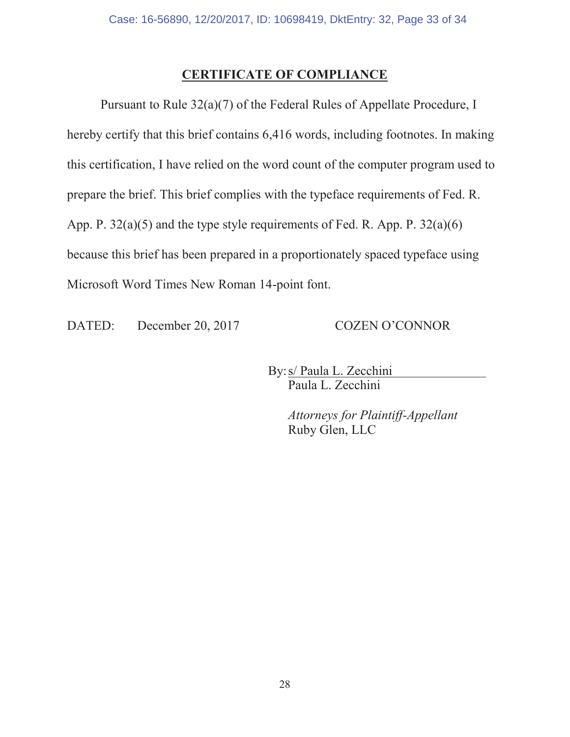# **CERTIFICATE OF COMPLIANCE**

Pursuant to Rule 32(a)(7) of the Federal Rules of Appellate Procedure, I hereby certify that this brief contains 6,416 words, including footnotes. In making this certification, I have relied on the word count of the computer program used to prepare the brief. This brief complies with the typeface requirements of Fed. R. App. P. 32(a)(5) and the type style requirements of Fed. R. App. P. 32(a)(6) because this brief has been prepared in a proportionately spaced typeface using Microsoft Word Times New Roman 14-point font.

DATED: December 20, 2017 COZEN O'CONNOR

By: s/ Paula L. Zecchini Paula L. Zecchini

> *Attorneys for Plaintiff-Appellant* Ruby Glen, LLC